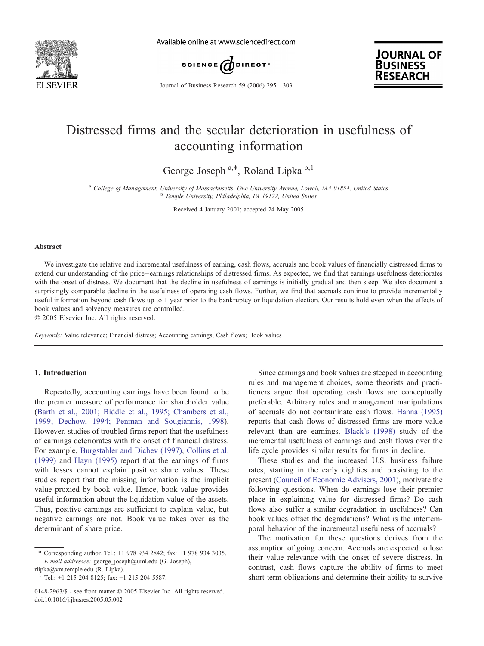

Available online at www.sciencedirect.com





Journal of Business Research 59 (2006) 295 – 303

# Distressed firms and the secular deterioration in usefulness of accounting information

George Joseph  $a, *$ , Roland Lipka  $b, 1$ 

<sup>a</sup> College of Management, University of Massachusetts, One University Avenue, Lowell, MA 01854, United States<br><sup>b</sup> Temple University, Philadelphia, PA 19122, United States

Received 4 January 2001; accepted 24 May 2005

#### Abstract

We investigate the relative and incremental usefulness of earning, cash flows, accruals and book values of financially distressed firms to extend our understanding of the price – earnings relationships of distressed firms. As expected, we find that earnings usefulness deteriorates with the onset of distress. We document that the decline in usefulness of earnings is initially gradual and then steep. We also document a surprisingly comparable decline in the usefulness of operating cash flows. Further, we find that accruals continue to provide incrementally useful information beyond cash flows up to 1 year prior to the bankruptcy or liquidation election. Our results hold even when the effects of book values and solvency measures are controlled.

 $\odot$  2005 Elsevier Inc. All rights reserved.

Keywords: Value relevance; Financial distress; Accounting earnings; Cash flows; Book values

#### 1. Introduction

Repeatedly, accounting earnings have been found to be the premier measure of performance for shareholder value ([Barth et al., 2001; Biddle et al., 1995; Chambers et al.,](#page--1-0) 1999; Dechow, 1994; Penman and Sougiannis, 1998). However, studies of troubled firms report that the usefulness of earnings deteriorates with the onset of financial distress. For example, [Burgstahler and Dichev \(1997\),](#page--1-0) [Collins et al.](#page--1-0) (1999) and [Hayn \(1995\)](#page--1-0) report that the earnings of firms with losses cannot explain positive share values. These studies report that the missing information is the implicit value proxied by book value. Hence, book value provides useful information about the liquidation value of the assets. Thus, positive earnings are sufficient to explain value, but negative earnings are not. Book value takes over as the determinant of share price.

rlipka@vm.temple.edu (R. Lipka). <sup>1</sup> Tel.: +1 215 204 8125; fax: +1 215 204 5587.

Since earnings and book values are steeped in accounting rules and management choices, some theorists and practitioners argue that operating cash flows are conceptually preferable. Arbitrary rules and management manipulations of accruals do not contaminate cash flows. [Hanna \(1995\)](#page--1-0) reports that cash flows of distressed firms are more value relevant than are earnings. [Black's \(1998\)](#page--1-0) study of the incremental usefulness of earnings and cash flows over the life cycle provides similar results for firms in decline.

These studies and the increased U.S. business failure rates, starting in the early eighties and persisting to the present ([Council of Economic Advisers, 2001\)](#page--1-0), motivate the following questions. When do earnings lose their premier place in explaining value for distressed firms? Do cash flows also suffer a similar degradation in usefulness? Can book values offset the degradations? What is the intertemporal behavior of the incremental usefulness of accruals?

The motivation for these questions derives from the assumption of going concern. Accruals are expected to lose their value relevance with the onset of severe distress. In contrast, cash flows capture the ability of firms to meet short-term obligations and determine their ability to survive

Corresponding author. Tel.: +1 978 934 2842; fax: +1 978 934 3035. E-mail addresses: george\_joseph@uml.edu (G. Joseph),

<sup>0148-2963/\$ -</sup> see front matter © 2005 Elsevier Inc. All rights reserved. doi:10.1016/j.jbusres.2005.05.002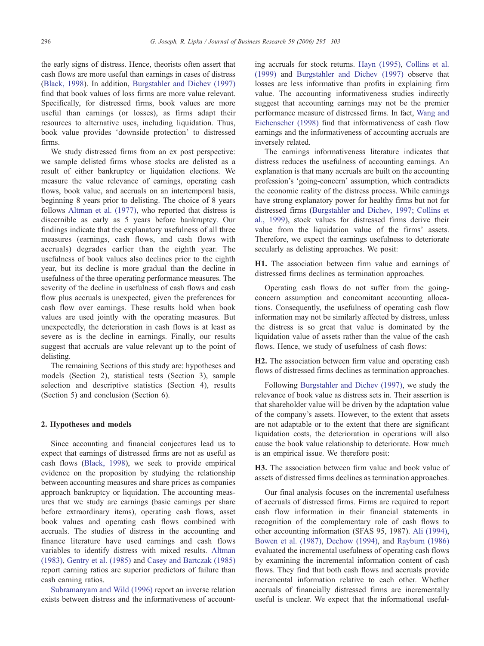the early signs of distress. Hence, theorists often assert that cash flows are more useful than earnings in cases of distress ([Black, 1998](#page--1-0)). In addition, [Burgstahler and Dichev \(1997\)](#page--1-0) find that book values of loss firms are more value relevant. Specifically, for distressed firms, book values are more useful than earnings (or losses), as firms adapt their resources to alternative uses, including liquidation. Thus, book value provides 'downside protection' to distressed firms.

We study distressed firms from an ex post perspective: we sample delisted firms whose stocks are delisted as a result of either bankruptcy or liquidation elections. We measure the value relevance of earnings, operating cash flows, book value, and accruals on an intertemporal basis, beginning 8 years prior to delisting. The choice of 8 years follows [Altman et al. \(1977\),](#page--1-0) who reported that distress is discernible as early as 5 years before bankruptcy. Our findings indicate that the explanatory usefulness of all three measures (earnings, cash flows, and cash flows with accruals) degrades earlier than the eighth year. The usefulness of book values also declines prior to the eighth year, but its decline is more gradual than the decline in usefulness of the three operating performance measures. The severity of the decline in usefulness of cash flows and cash flow plus accruals is unexpected, given the preferences for cash flow over earnings. These results hold when book values are used jointly with the operating measures. But unexpectedly, the deterioration in cash flows is at least as severe as is the decline in earnings. Finally, our results suggest that accruals are value relevant up to the point of delisting.

The remaining Sections of this study are: hypotheses and models (Section 2), statistical tests (Section 3), sample selection and descriptive statistics (Section 4), results (Section 5) and conclusion (Section 6).

### 2. Hypotheses and models

Since accounting and financial conjectures lead us to expect that earnings of distressed firms are not as useful as cash flows ([Black, 1998\)](#page--1-0), we seek to provide empirical evidence on the proposition by studying the relationship between accounting measures and share prices as companies approach bankruptcy or liquidation. The accounting measures that we study are earnings (basic earnings per share before extraordinary items), operating cash flows, asset book values and operating cash flows combined with accruals. The studies of distress in the accounting and finance literature have used earnings and cash flows variables to identify distress with mixed results. [Altman](#page--1-0) (1983), [Gentry et al. \(1985\)](#page--1-0) and [Casey and Bartczak \(1985\)](#page--1-0) report earning ratios are superior predictors of failure than cash earning ratios.

[Subramanyam and Wild \(1996\)](#page--1-0) report an inverse relation exists between distress and the informativeness of accounting accruals for stock returns. [Hayn \(1995\),](#page--1-0) [Collins et al.](#page--1-0) (1999) and [Burgstahler and Dichev \(1997\)](#page--1-0) observe that losses are less informative than profits in explaining firm value. The accounting informativeness studies indirectly suggest that accounting earnings may not be the premier performance measure of distressed firms. In fact, [Wang and](#page--1-0) Eichenseher (1998) find that informativeness of cash flow earnings and the informativeness of accounting accruals are inversely related.

The earnings informativeness literature indicates that distress reduces the usefulness of accounting earnings. An explanation is that many accruals are built on the accounting profession's 'going-concern' assumption, which contradicts the economic reality of the distress process. While earnings have strong explanatory power for healthy firms but not for distressed firms ([Burgstahler and Dichev, 1997; Collins et](#page--1-0) al., 1999), stock values for distressed firms derive their value from the liquidation value of the firms' assets. Therefore, we expect the earnings usefulness to deteriorate secularly as delisting approaches. We posit:

H1. The association between firm value and earnings of distressed firms declines as termination approaches.

Operating cash flows do not suffer from the goingconcern assumption and concomitant accounting allocations. Consequently, the usefulness of operating cash flow information may not be similarly affected by distress, unless the distress is so great that value is dominated by the liquidation value of assets rather than the value of the cash flows. Hence, we study of usefulness of cash flows:

H2. The association between firm value and operating cash flows of distressed firms declines as termination approaches.

Following [Burgstahler and Dichev \(1997\),](#page--1-0) we study the relevance of book value as distress sets in. Their assertion is that shareholder value will be driven by the adaptation value of the company's assets. However, to the extent that assets are not adaptable or to the extent that there are significant liquidation costs, the deterioration in operations will also cause the book value relationship to deteriorate. How much is an empirical issue. We therefore posit:

H3. The association between firm value and book value of assets of distressed firms declines as termination approaches.

Our final analysis focuses on the incremental usefulness of accruals of distressed firms. Firms are required to report cash flow information in their financial statements in recognition of the complementary role of cash flows to other accounting information (SFAS 95, 1987). [Ali \(1994\)](#page--1-0), [Bowen et al. \(1987\)](#page--1-0), [Dechow \(1994\),](#page--1-0) and [Rayburn \(1986\)](#page--1-0) evaluated the incremental usefulness of operating cash flows by examining the incremental information content of cash flows. They find that both cash flows and accruals provide incremental information relative to each other. Whether accruals of financially distressed firms are incrementally useful is unclear. We expect that the informational useful-